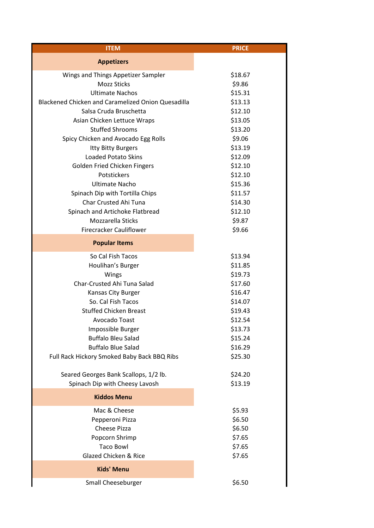| <b>ITEM</b>                                               | <b>PRICE</b> |
|-----------------------------------------------------------|--------------|
| <b>Appetizers</b>                                         |              |
| Wings and Things Appetizer Sampler                        | \$18.67      |
| <b>Mozz Sticks</b>                                        | \$9.86       |
| <b>Ultimate Nachos</b>                                    | \$15.31      |
| <b>Blackened Chicken and Caramelized Onion Quesadilla</b> | \$13.13      |
| Salsa Cruda Bruschetta                                    | \$12.10      |
| Asian Chicken Lettuce Wraps                               | \$13.05      |
| <b>Stuffed Shrooms</b>                                    | \$13.20      |
| Spicy Chicken and Avocado Egg Rolls                       | \$9.06       |
| Itty Bitty Burgers                                        | \$13.19      |
| <b>Loaded Potato Skins</b>                                | \$12.09      |
| Golden Fried Chicken Fingers                              | \$12.10      |
| Potstickers                                               | \$12.10      |
| <b>Ultimate Nacho</b>                                     | \$15.36      |
| Spinach Dip with Tortilla Chips                           | \$11.57      |
| Char Crusted Ahi Tuna                                     | \$14.30      |
| Spinach and Artichoke Flatbread                           | \$12.10      |
| Mozzarella Sticks                                         | \$9.87       |
| <b>Firecracker Cauliflower</b>                            | \$9.66       |
| <b>Popular Items</b>                                      |              |
| So Cal Fish Tacos                                         | \$13.94      |
| Houlihan's Burger                                         | \$11.85      |
| Wings                                                     | \$19.73      |
| Char-Crusted Ahi Tuna Salad                               | \$17.60      |
| Kansas City Burger                                        | \$16.47      |
| So. Cal Fish Tacos                                        | \$14.07      |
| <b>Stuffed Chicken Breast</b>                             | \$19.43      |
| Avocado Toast                                             | \$12.54      |
| Impossible Burger                                         | \$13.73      |
| <b>Buffalo Bleu Salad</b>                                 | \$15.24      |
| <b>Buffalo Blue Salad</b>                                 | \$16.29      |
| Full Rack Hickory Smoked Baby Back BBQ Ribs               | \$25.30      |
| Seared Georges Bank Scallops, 1/2 lb.                     | \$24.20      |
| Spinach Dip with Cheesy Lavosh                            | \$13.19      |
| <b>Kiddos Menu</b>                                        |              |
| Mac & Cheese                                              | \$5.93       |
| Pepperoni Pizza                                           | \$6.50       |
| <b>Cheese Pizza</b>                                       | \$6.50       |
| Popcorn Shrimp                                            | \$7.65       |
| <b>Taco Bowl</b>                                          | \$7.65       |
| <b>Glazed Chicken &amp; Rice</b>                          | \$7.65       |
| <b>Kids' Menu</b>                                         |              |
| Small Cheeseburger                                        | \$6.50       |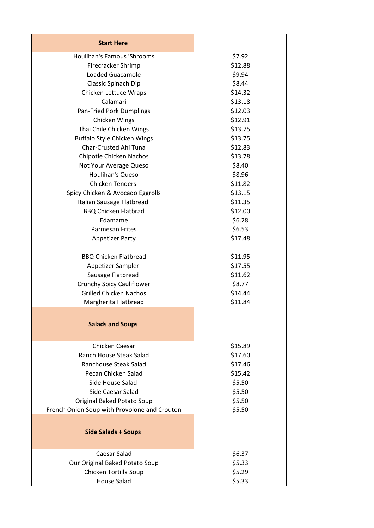| <b>Start Here</b>                            |
|----------------------------------------------|
| <b>Houlihan's Famous 'Shrooms</b>            |
| Firecracker Shrimp                           |
| <b>Loaded Guacamole</b>                      |
| Classic Spinach Dip                          |
| Chicken Lettuce Wraps                        |
| Calamari                                     |
| Pan-Fried Pork Dumplings                     |
| Chicken Wings                                |
| Thai Chile Chicken Wings                     |
| <b>Buffalo Style Chicken Wings</b>           |
| Char-Crusted Ahi Tuna                        |
| Chipotle Chicken Nachos                      |
| Not Your Average Queso                       |
| Houlihan's Queso                             |
| <b>Chicken Tenders</b>                       |
| Spicy Chicken & Avocado Eggrolls             |
| Italian Sausage Flatbread                    |
| <b>BBQ Chicken Flatbrad</b>                  |
| Edamame                                      |
| <b>Parmesan Frites</b>                       |
| <b>Appetizer Party</b>                       |
|                                              |
| <b>BBQ Chicken Flatbread</b>                 |
| Appetizer Sampler                            |
| Sausage Flatbread                            |
| Crunchy Spicy Cauliflower                    |
| <b>Grilled Chicken Nachos</b>                |
| Margherita Flatbread                         |
| <b>Salads and Soups</b>                      |
| Chicken Caesar                               |
| <b>Ranch House Steak Salad</b>               |
| Ranchouse Steak Salad                        |
| Pecan Chicken Salad                          |
| Side House Salad                             |
| Side Caesar Salad                            |
| Original Baked Potato Soup                   |
| French Onion Soup with Provolone and Crouton |
|                                              |
| <b>Side Salads + Soups</b>                   |
| Caesar Salad                                 |
| Our Original Baked Potato Soup               |
| Chicken Tortilla Soup                        |
| <b>House Salad</b>                           |
|                                              |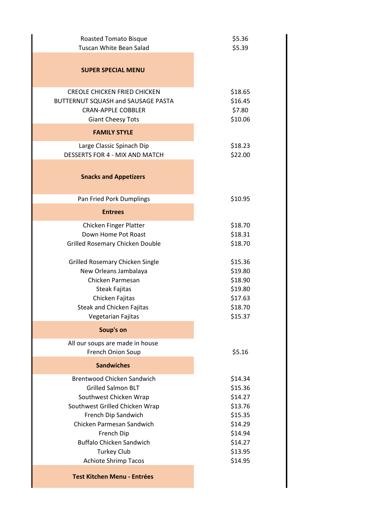| <b>Roasted Tomato Bisque</b><br><b>Tuscan White Bean Salad</b>                                                                     | \$5.36<br>\$5.39                        |
|------------------------------------------------------------------------------------------------------------------------------------|-----------------------------------------|
| <b>SUPER SPECIAL MENU</b>                                                                                                          |                                         |
| <b>CREOLE CHICKEN FRIED CHICKEN</b><br>BUTTERNUT SQUASH and SAUSAGE PASTA<br><b>CRAN-APPLE COBBLER</b><br><b>Giant Cheesy Tots</b> | \$18.65<br>\$16.45<br>\$7.80<br>\$10.06 |
| <b>FAMILY STYLE</b>                                                                                                                |                                         |
| Large Classic Spinach Dip<br>DESSERTS FOR 4 - MIX AND MATCH                                                                        | \$18.23<br>\$22.00                      |
| <b>Snacks and Appetizers</b>                                                                                                       |                                         |
| Pan Fried Pork Dumplings                                                                                                           | \$10.95                                 |
| <b>Entrees</b>                                                                                                                     |                                         |
| Chicken Finger Platter                                                                                                             | \$18.70                                 |
| Down Home Pot Roast                                                                                                                | \$18.31                                 |
| Grilled Rosemary Chicken Double                                                                                                    | \$18.70                                 |
| <b>Grilled Rosemary Chicken Single</b>                                                                                             | \$15.36                                 |
| New Orleans Jambalaya                                                                                                              | \$19.80                                 |
| Chicken Parmesan<br><b>Steak Fajitas</b>                                                                                           | \$18.90<br>\$19.80                      |
| Chicken Fajitas                                                                                                                    | \$17.63                                 |
| Steak and Chicken Fajitas                                                                                                          | \$18.70                                 |
| Vegetarian Fajitas                                                                                                                 | \$15.37                                 |
| Soup's on                                                                                                                          |                                         |
| All our soups are made in house<br>French Onion Soup                                                                               | \$5.16                                  |
| <b>Sandwiches</b>                                                                                                                  |                                         |
| <b>Brentwood Chicken Sandwich</b>                                                                                                  | \$14.34                                 |
| <b>Grilled Salmon BLT</b>                                                                                                          | \$15.36                                 |
| Southwest Chicken Wrap                                                                                                             | \$14.27                                 |
| Southwest Grilled Chicken Wrap                                                                                                     | \$13.76                                 |
| French Dip Sandwich                                                                                                                | \$15.35                                 |
| Chicken Parmesan Sandwich<br>French Dip                                                                                            | \$14.29<br>\$14.94                      |
| <b>Buffalo Chicken Sandwich</b>                                                                                                    | \$14.27                                 |
| <b>Turkey Club</b>                                                                                                                 | \$13.95                                 |
| Achiote Shrimp Tacos                                                                                                               | \$14.95                                 |
| <b>Test Kitchen Menu - Entrées</b>                                                                                                 |                                         |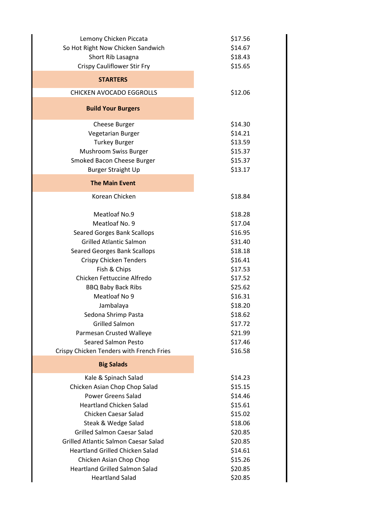| Lemony Chicken Piccata<br>So Hot Right Now Chicken Sandwich   | \$17.56<br>\$14.67 |
|---------------------------------------------------------------|--------------------|
| Short Rib Lasagna                                             | \$18.43            |
| Crispy Cauliflower Stir Fry                                   | \$15.65            |
|                                                               |                    |
| <b>STARTERS</b>                                               |                    |
| <b>CHICKEN AVOCADO EGGROLLS</b>                               | \$12.06            |
| <b>Build Your Burgers</b>                                     |                    |
| <b>Cheese Burger</b>                                          | \$14.30            |
| Vegetarian Burger                                             | \$14.21            |
| <b>Turkey Burger</b>                                          | \$13.59            |
| Mushroom Swiss Burger                                         | \$15.37            |
| Smoked Bacon Cheese Burger                                    | \$15.37            |
| <b>Burger Straight Up</b>                                     | \$13.17            |
| <b>The Main Event</b>                                         |                    |
| Korean Chicken                                                | \$18.84            |
| Meatloaf No.9                                                 | \$18.28            |
| Meatloaf No. 9                                                | \$17.04            |
|                                                               |                    |
| Seared Gorges Bank Scallops<br><b>Grilled Atlantic Salmon</b> | \$16.95            |
|                                                               | \$31.40            |
| <b>Seared Georges Bank Scallops</b>                           | \$18.18            |
| <b>Crispy Chicken Tenders</b>                                 | \$16.41            |
| Fish & Chips<br>Chicken Fettuccine Alfredo                    | \$17.53            |
|                                                               | \$17.52            |
| <b>BBQ Baby Back Ribs</b><br>Meatloaf No 9                    | \$25.62<br>\$16.31 |
|                                                               |                    |
| Jambalaya                                                     | \$18.20            |
| Sedona Shrimp Pasta                                           | \$18.62            |
| <b>Grilled Salmon</b>                                         | \$17.72            |
| Parmesan Crusted Walleye                                      | \$21.99            |
| <b>Seared Salmon Pesto</b>                                    | \$17.46            |
| Crispy Chicken Tenders with French Fries                      | \$16.58            |
| <b>Big Salads</b>                                             |                    |
| Kale & Spinach Salad                                          | \$14.23            |
| Chicken Asian Chop Chop Salad                                 | \$15.15            |
| <b>Power Greens Salad</b>                                     | \$14.46            |
| <b>Heartland Chicken Salad</b>                                | \$15.61            |
| <b>Chicken Caesar Salad</b>                                   | \$15.02            |
| Steak & Wedge Salad                                           | \$18.06            |
| <b>Grilled Salmon Caesar Salad</b>                            | \$20.85            |
| <b>Grilled Atlantic Salmon Caesar Salad</b>                   | \$20.85            |
| <b>Heartland Grilled Chicken Salad</b>                        | \$14.61            |
| Chicken Asian Chop Chop                                       | \$15.26            |
| <b>Heartland Grilled Salmon Salad</b>                         | \$20.85            |
| <b>Heartland Salad</b>                                        | \$20.85            |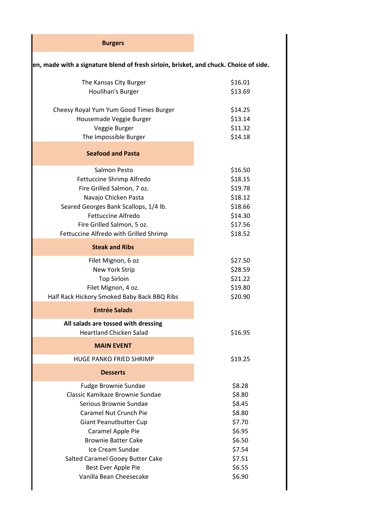| <b>Burgers</b>                                                                        |         |  |  |
|---------------------------------------------------------------------------------------|---------|--|--|
| en, made with a signature blend of fresh sirloin, brisket, and chuck. Choice of side. |         |  |  |
| The Kansas City Burger                                                                | \$16.01 |  |  |
| Houlihan's Burger                                                                     | \$13.69 |  |  |
| Cheesy Royal Yum Yum Good Times Burger                                                | \$14.25 |  |  |
| Housemade Veggie Burger                                                               | \$13.14 |  |  |
| Veggie Burger                                                                         | \$11.32 |  |  |
| The Impossible Burger                                                                 | \$14.18 |  |  |
| <b>Seafood and Pasta</b>                                                              |         |  |  |
| Salmon Pesto                                                                          | \$16.50 |  |  |
| Fettuccine Shrimp Alfredo                                                             | \$18.15 |  |  |
| Fire Grilled Salmon, 7 oz.                                                            | \$19.78 |  |  |
| Navajo Chicken Pasta                                                                  | \$18.12 |  |  |
| Seared Georges Bank Scallops, 1/4 lb.                                                 | \$18.66 |  |  |
| <b>Fettuccine Alfredo</b>                                                             | \$14.30 |  |  |
| Fire Grilled Salmon, 5 oz.                                                            | \$17.56 |  |  |
| Fettuccine Alfredo with Grilled Shrimp                                                | \$18.52 |  |  |
| <b>Steak and Ribs</b>                                                                 |         |  |  |
| Filet Mignon, 6 oz                                                                    | \$27.50 |  |  |
| New York Strip                                                                        | \$28.59 |  |  |
| <b>Top Sirloin</b>                                                                    | \$21.22 |  |  |
| Filet Mignon, 4 oz.                                                                   | \$19.80 |  |  |
| Half Rack Hickory Smoked Baby Back BBQ Ribs                                           | \$20.90 |  |  |
| <b>Entrée Salads</b>                                                                  |         |  |  |
| All salads are tossed with dressing<br><b>Heartland Chicken Salad</b>                 | \$16.95 |  |  |
| <b>MAIN EVENT</b>                                                                     |         |  |  |
| HUGE PANKO FRIED SHRIMP                                                               | \$19.25 |  |  |
| <b>Desserts</b>                                                                       |         |  |  |
| Fudge Brownie Sundae                                                                  | \$8.28  |  |  |
| Classic Kamikaze Brownie Sundae                                                       | \$8.80  |  |  |
| Serious Brownie Sundae                                                                | \$8.45  |  |  |
| Caramel Nut Crunch Pie                                                                | \$8.80  |  |  |
| Giant Peanutbutter Cup                                                                | \$7.70  |  |  |
| Caramel Apple Pie                                                                     | \$6.95  |  |  |
| <b>Brownie Batter Cake</b>                                                            | \$6.50  |  |  |
| Ice Cream Sundae                                                                      | \$7.54  |  |  |
| Salted Caramel Gooey Butter Cake                                                      | \$7.51  |  |  |
| Best Ever Apple Pie                                                                   | \$6.55  |  |  |
| Vanilla Bean Cheesecake                                                               | \$6.90  |  |  |
|                                                                                       |         |  |  |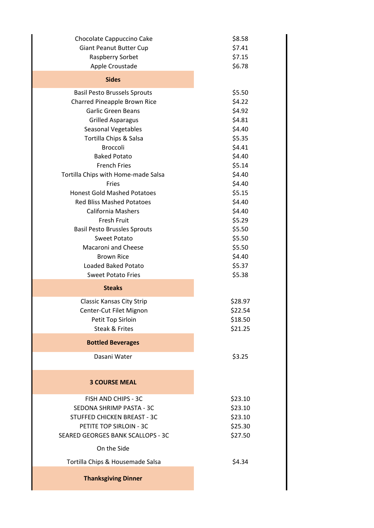| Chocolate Cappuccino Cake           | \$8.58  |
|-------------------------------------|---------|
| Giant Peanut Butter Cup             | \$7.41  |
| Raspberry Sorbet                    | \$7.15  |
| Apple Croustade                     | \$6.78  |
| <b>Sides</b>                        |         |
| <b>Basil Pesto Brussels Sprouts</b> | \$5.50  |
| Charred Pineapple Brown Rice        | \$4.22  |
| Garlic Green Beans                  | \$4.92  |
| <b>Grilled Asparagus</b>            | \$4.81  |
| <b>Seasonal Vegetables</b>          | \$4.40  |
| Tortilla Chips & Salsa              | \$5.35  |
| <b>Broccoli</b>                     | \$4.41  |
| <b>Baked Potato</b>                 | \$4.40  |
| <b>French Fries</b>                 | \$5.14  |
| Tortilla Chips with Home-made Salsa | \$4.40  |
| Fries                               | \$4.40  |
| <b>Honest Gold Mashed Potatoes</b>  | \$5.15  |
| <b>Red Bliss Mashed Potatoes</b>    | \$4.40  |
| <b>California Mashers</b>           | \$4.40  |
| <b>Fresh Fruit</b>                  | \$5.29  |
| <b>Basil Pesto Brussles Sprouts</b> | \$5.50  |
| <b>Sweet Potato</b>                 | \$5.50  |
| <b>Macaroni and Cheese</b>          | \$5.50  |
| <b>Brown Rice</b>                   | \$4.40  |
| Loaded Baked Potato                 | \$5.37  |
| <b>Sweet Potato Fries</b>           | \$5.38  |
| <b>Steaks</b>                       |         |
| <b>Classic Kansas City Strip</b>    | \$28.97 |
| Center-Cut Filet Mignon             | \$22.54 |
| Petit Top Sirloin                   | \$18.50 |
| Steak & Frites                      | \$21.25 |
| <b>Bottled Beverages</b>            |         |
| Dasani Water                        | \$3.25  |
| <b>3 COURSE MEAL</b>                |         |
| FISH AND CHIPS - 3C                 | \$23.10 |
| SEDONA SHRIMP PASTA - 3C            | \$23.10 |
| <b>STUFFED CHICKEN BREAST - 3C</b>  | \$23.10 |
| PETITE TOP SIRLOIN - 3C             | \$25.30 |
| SEARED GEORGES BANK SCALLOPS - 3C   | \$27.50 |
| On the Side                         |         |
| Tortilla Chips & Housemade Salsa    | \$4.34  |
| <b>Thanksgiving Dinner</b>          |         |